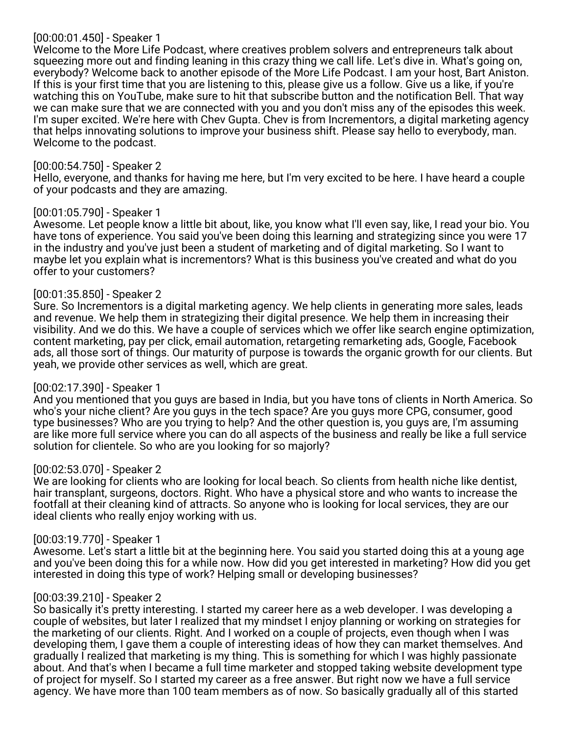# [00:00:01.450] - Speaker 1

Welcome to the More Life Podcast, where creatives problem solvers and entrepreneurs talk about squeezing more out and finding leaning in this crazy thing we call life. Let's dive in. What's going on, everybody? Welcome back to another episode of the More Life Podcast. I am your host, Bart Aniston. If this is your first time that you are listening to this, please give us a follow. Give us a like, if you're watching this on YouTube, make sure to hit that subscribe button and the notification Bell. That way we can make sure that we are connected with you and you don't miss any of the episodes this week. I'm super excited. We're here with Chev Gupta. Chev is from Incrementors, a digital marketing agency that helps innovating solutions to improve your business shift. Please say hello to everybody, man. Welcome to the podcast.

### [00:00:54.750] - Speaker 2

Hello, everyone, and thanks for having me here, but I'm very excited to be here. I have heard a couple of your podcasts and they are amazing.

### [00:01:05.790] - Speaker 1

Awesome. Let people know a little bit about, like, you know what I'll even say, like, I read your bio. You have tons of experience. You said you've been doing this learning and strategizing since you were 17 in the industry and you've just been a student of marketing and of digital marketing. So I want to maybe let you explain what is incrementors? What is this business you've created and what do you offer to your customers?

### [00:01:35.850] - Speaker 2

Sure. So Incrementors is a digital marketing agency. We help clients in generating more sales, leads and revenue. We help them in strategizing their digital presence. We help them in increasing their visibility. And we do this. We have a couple of services which we offer like search engine optimization, content marketing, pay per click, email automation, retargeting remarketing ads, Google, Facebook ads, all those sort of things. Our maturity of purpose is towards the organic growth for our clients. But yeah, we provide other services as well, which are great.

### [00:02:17.390] - Speaker 1

And you mentioned that you guys are based in India, but you have tons of clients in North America. So who's your niche client? Are you guys in the tech space? Are you guys more CPG, consumer, good type businesses? Who are you trying to help? And the other question is, you guys are, I'm assuming are like more full service where you can do all aspects of the business and really be like a full service solution for clientele. So who are you looking for so majorly?

### [00:02:53.070] - Speaker 2

We are looking for clients who are looking for local beach. So clients from health niche like dentist, hair transplant, surgeons, doctors. Right. Who have a physical store and who wants to increase the footfall at their cleaning kind of attracts. So anyone who is looking for local services, they are our ideal clients who really enjoy working with us.

# [00:03:19.770] - Speaker 1

Awesome. Let's start a little bit at the beginning here. You said you started doing this at a young age and you've been doing this for a while now. How did you get interested in marketing? How did you get interested in doing this type of work? Helping small or developing businesses?

# [00:03:39.210] - Speaker 2

So basically it's pretty interesting. I started my career here as a web developer. I was developing a couple of websites, but later I realized that my mindset I enjoy planning or working on strategies for the marketing of our clients. Right. And I worked on a couple of projects, even though when I was developing them, I gave them a couple of interesting ideas of how they can market themselves. And gradually I realized that marketing is my thing. This is something for which I was highly passionate about. And that's when I became a full time marketer and stopped taking website development type of project for myself. So I started my career as a free answer. But right now we have a full service agency. We have more than 100 team members as of now. So basically gradually all of this started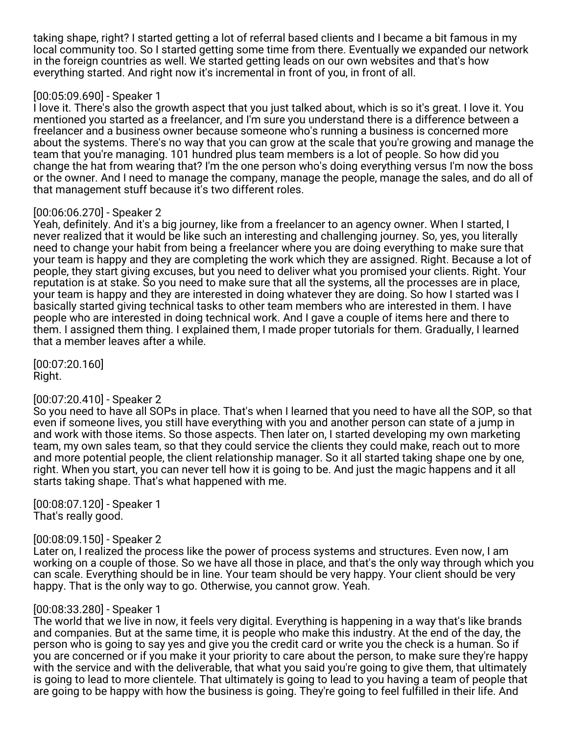taking shape, right? I started getting a lot of referral based clients and I became a bit famous in my local community too. So I started getting some time from there. Eventually we expanded our network in the foreign countries as well. We started getting leads on our own websites and that's how everything started. And right now it's incremental in front of you, in front of all.

# [00:05:09.690] - Speaker 1

I love it. There's also the growth aspect that you just talked about, which is so it's great. I love it. You mentioned you started as a freelancer, and I'm sure you understand there is a difference between a freelancer and a business owner because someone who's running a business is concerned more about the systems. There's no way that you can grow at the scale that you're growing and manage the team that you're managing. 101 hundred plus team members is a lot of people. So how did you change the hat from wearing that? I'm the one person who's doing everything versus I'm now the boss or the owner. And I need to manage the company, manage the people, manage the sales, and do all of that management stuff because it's two different roles.

# [00:06:06.270] - Speaker 2

Yeah, definitely. And it's a big journey, like from a freelancer to an agency owner. When I started, I never realized that it would be like such an interesting and challenging journey. So, yes, you literally need to change your habit from being a freelancer where you are doing everything to make sure that your team is happy and they are completing the work which they are assigned. Right. Because a lot of people, they start giving excuses, but you need to deliver what you promised your clients. Right. Your reputation is at stake. So you need to make sure that all the systems, all the processes are in place, your team is happy and they are interested in doing whatever they are doing. So how I started was I basically started giving technical tasks to other team members who are interested in them. I have people who are interested in doing technical work. And I gave a couple of items here and there to them. I assigned them thing. I explained them, I made proper tutorials for them. Gradually, I learned that a member leaves after a while.

[00:07:20.160] Right.

# [00:07:20.410] - Speaker 2

So you need to have all SOPs in place. That's when I learned that you need to have all the SOP, so that even if someone lives, you still have everything with you and another person can state of a jump in and work with those items. So those aspects. Then later on, I started developing my own marketing team, my own sales team, so that they could service the clients they could make, reach out to more and more potential people, the client relationship manager. So it all started taking shape one by one, right. When you start, you can never tell how it is going to be. And just the magic happens and it all starts taking shape. That's what happened with me.

[00:08:07.120] - Speaker 1 That's really good.

### [00:08:09.150] - Speaker 2

Later on, I realized the process like the power of process systems and structures. Even now, I am working on a couple of those. So we have all those in place, and that's the only way through which you can scale. Everything should be in line. Your team should be very happy. Your client should be very happy. That is the only way to go. Otherwise, you cannot grow. Yeah.

# [00:08:33.280] - Speaker 1

The world that we live in now, it feels very digital. Everything is happening in a way that's like brands and companies. But at the same time, it is people who make this industry. At the end of the day, the person who is going to say yes and give you the credit card or write you the check is a human. So if you are concerned or if you make it your priority to care about the person, to make sure they're happy with the service and with the deliverable, that what you said you're going to give them, that ultimately is going to lead to more clientele. That ultimately is going to lead to you having a team of people that are going to be happy with how the business is going. They're going to feel fulfilled in their life. And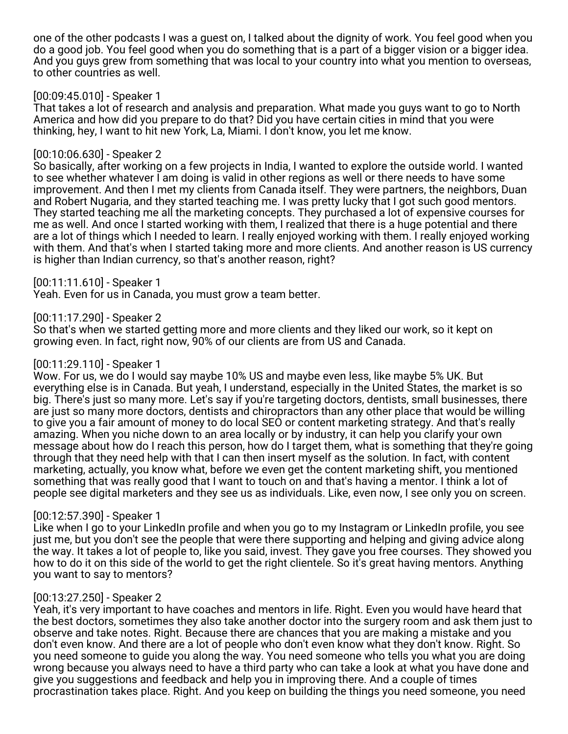one of the other podcasts I was a guest on, I talked about the dignity of work. You feel good when you do a good job. You feel good when you do something that is a part of a bigger vision or a bigger idea. And you guys grew from something that was local to your country into what you mention to overseas, to other countries as well.

## [00:09:45.010] - Speaker 1

That takes a lot of research and analysis and preparation. What made you guys want to go to North America and how did you prepare to do that? Did you have certain cities in mind that you were thinking, hey, I want to hit new York, La, Miami. I don't know, you let me know.

### [00:10:06.630] - Speaker 2

So basically, after working on a few projects in India, I wanted to explore the outside world. I wanted to see whether whatever I am doing is valid in other regions as well or there needs to have some improvement. And then I met my clients from Canada itself. They were partners, the neighbors, Duan and Robert Nugaria, and they started teaching me. I was pretty lucky that I got such good mentors. They started teaching me all the marketing concepts. They purchased a lot of expensive courses for me as well. And once I started working with them, I realized that there is a huge potential and there are a lot of things which I needed to learn. I really enjoyed working with them. I really enjoyed working with them. And that's when I started taking more and more clients. And another reason is US currency is higher than Indian currency, so that's another reason, right?

### [00:11:11.610] - Speaker 1

Yeah. Even for us in Canada, you must grow a team better.

### [00:11:17.290] - Speaker 2

So that's when we started getting more and more clients and they liked our work, so it kept on growing even. In fact, right now, 90% of our clients are from US and Canada.

### [00:11:29.110] - Speaker 1

Wow. For us, we do I would say maybe 10% US and maybe even less, like maybe 5% UK. But everything else is in Canada. But yeah, I understand, especially in the United States, the market is so big. There's just so many more. Let's say if you're targeting doctors, dentists, small businesses, there are just so many more doctors, dentists and chiropractors than any other place that would be willing to give you a fair amount of money to do local SEO or content marketing strategy. And that's really amazing. When you niche down to an area locally or by industry, it can help you clarify your own message about how do I reach this person, how do I target them, what is something that they're going through that they need help with that I can then insert myself as the solution. In fact, with content marketing, actually, you know what, before we even get the content marketing shift, you mentioned something that was really good that I want to touch on and that's having a mentor. I think a lot of people see digital marketers and they see us as individuals. Like, even now, I see only you on screen.

### [00:12:57.390] - Speaker 1

Like when I go to your LinkedIn profile and when you go to my Instagram or LinkedIn profile, you see just me, but you don't see the people that were there supporting and helping and giving advice along the way. It takes a lot of people to, like you said, invest. They gave you free courses. They showed you how to do it on this side of the world to get the right clientele. So it's great having mentors. Anything you want to say to mentors?

### [00:13:27.250] - Speaker 2

Yeah, it's very important to have coaches and mentors in life. Right. Even you would have heard that the best doctors, sometimes they also take another doctor into the surgery room and ask them just to observe and take notes. Right. Because there are chances that you are making a mistake and you don't even know. And there are a lot of people who don't even know what they don't know. Right. So you need someone to guide you along the way. You need someone who tells you what you are doing wrong because you always need to have a third party who can take a look at what you have done and give you suggestions and feedback and help you in improving there. And a couple of times procrastination takes place. Right. And you keep on building the things you need someone, you need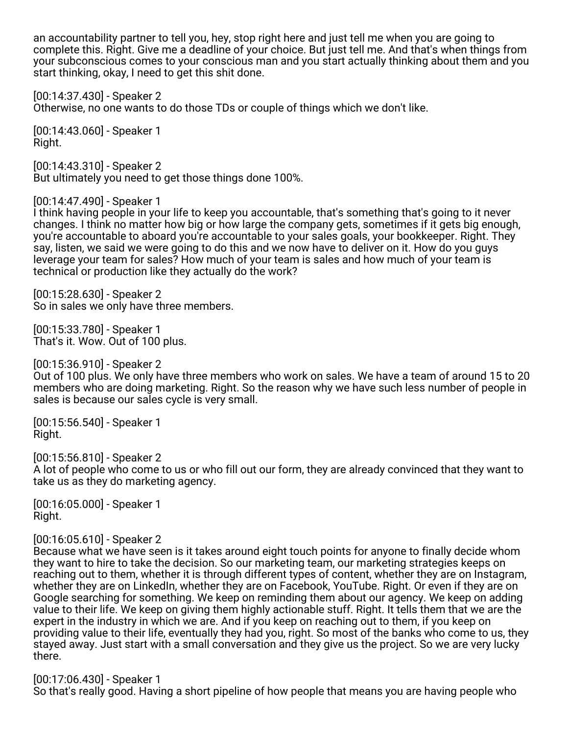an accountability partner to tell you, hey, stop right here and just tell me when you are going to complete this. Right. Give me a deadline of your choice. But just tell me. And that's when things from your subconscious comes to your conscious man and you start actually thinking about them and you start thinking, okay, I need to get this shit done.

[00:14:37.430] - Speaker 2 Otherwise, no one wants to do those TDs or couple of things which we don't like.

[00:14:43.060] - Speaker 1 Right.

[00:14:43.310] - Speaker 2 But ultimately you need to get those things done 100%.

[00:14:47.490] - Speaker 1

I think having people in your life to keep you accountable, that's something that's going to it never changes. I think no matter how big or how large the company gets, sometimes if it gets big enough, you're accountable to aboard you're accountable to your sales goals, your bookkeeper. Right. They say, listen, we said we were going to do this and we now have to deliver on it. How do you guys leverage your team for sales? How much of your team is sales and how much of your team is technical or production like they actually do the work?

[00:15:28.630] - Speaker 2 So in sales we only have three members.

[00:15:33.780] - Speaker 1 That's it. Wow. Out of 100 plus.

[00:15:36.910] - Speaker 2

Out of 100 plus. We only have three members who work on sales. We have a team of around 15 to 20 members who are doing marketing. Right. So the reason why we have such less number of people in sales is because our sales cycle is very small.

[00:15:56.540] - Speaker 1 Right.

[00:15:56.810] - Speaker 2 A lot of people who come to us or who fill out our form, they are already convinced that they want to take us as they do marketing agency.

[00:16:05.000] - Speaker 1 Right.

[00:16:05.610] - Speaker 2

Because what we have seen is it takes around eight touch points for anyone to finally decide whom they want to hire to take the decision. So our marketing team, our marketing strategies keeps on reaching out to them, whether it is through different types of content, whether they are on Instagram, whether they are on LinkedIn, whether they are on Facebook, YouTube. Right. Or even if they are on Google searching for something. We keep on reminding them about our agency. We keep on adding value to their life. We keep on giving them highly actionable stuff. Right. It tells them that we are the expert in the industry in which we are. And if you keep on reaching out to them, if you keep on providing value to their life, eventually they had you, right. So most of the banks who come to us, they stayed away. Just start with a small conversation and they give us the project. So we are very lucky there.

[00:17:06.430] - Speaker 1 So that's really good. Having a short pipeline of how people that means you are having people who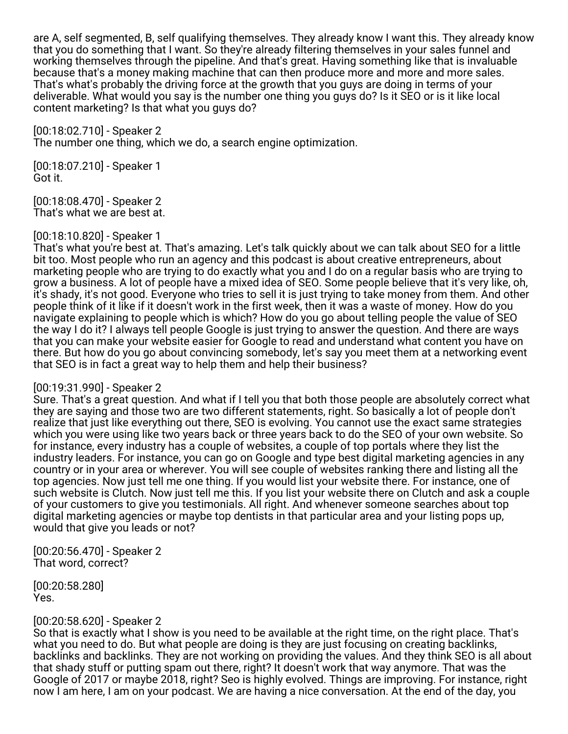are A, self segmented, B, self qualifying themselves. They already know I want this. They already know that you do something that I want. So they're already filtering themselves in your sales funnel and working themselves through the pipeline. And that's great. Having something like that is invaluable because that's a money making machine that can then produce more and more and more sales. That's what's probably the driving force at the growth that you guys are doing in terms of your deliverable. What would you say is the number one thing you guys do? Is it SEO or is it like local content marketing? Is that what you guys do?

[00:18:02.710] - Speaker 2

The number one thing, which we do, a search engine optimization.

[00:18:07.210] - Speaker 1 Got it.

[00:18:08.470] - Speaker 2 That's what we are best at.

#### [00:18:10.820] - Speaker 1

That's what you're best at. That's amazing. Let's talk quickly about we can talk about SEO for a little bit too. Most people who run an agency and this podcast is about creative entrepreneurs, about marketing people who are trying to do exactly what you and I do on a regular basis who are trying to grow a business. A lot of people have a mixed idea of SEO. Some people believe that it's very like, oh, it's shady, it's not good. Everyone who tries to sell it is just trying to take money from them. And other people think of it like if it doesn't work in the first week, then it was a waste of money. How do you navigate explaining to people which is which? How do you go about telling people the value of SEO the way I do it? I always tell people Google is just trying to answer the question. And there are ways that you can make your website easier for Google to read and understand what content you have on there. But how do you go about convincing somebody, let's say you meet them at a networking event that SEO is in fact a great way to help them and help their business?

#### [00:19:31.990] - Speaker 2

Sure. That's a great question. And what if I tell you that both those people are absolutely correct what they are saying and those two are two different statements, right. So basically a lot of people don't realize that just like everything out there, SEO is evolving. You cannot use the exact same strategies which you were using like two years back or three years back to do the SEO of your own website. So for instance, every industry has a couple of websites, a couple of top portals where they list the industry leaders. For instance, you can go on Google and type best digital marketing agencies in any country or in your area or wherever. You will see couple of websites ranking there and listing all the top agencies. Now just tell me one thing. If you would list your website there. For instance, one of such website is Clutch. Now just tell me this. If you list your website there on Clutch and ask a couple of your customers to give you testimonials. All right. And whenever someone searches about top digital marketing agencies or maybe top dentists in that particular area and your listing pops up, would that give you leads or not?

[00:20:56.470] - Speaker 2 That word, correct?

[00:20:58.280] Yes.

### [00:20:58.620] - Speaker 2

So that is exactly what I show is you need to be available at the right time, on the right place. That's what you need to do. But what people are doing is they are just focusing on creating backlinks, backlinks and backlinks. They are not working on providing the values. And they think SEO is all about that shady stuff or putting spam out there, right? It doesn't work that way anymore. That was the Google of 2017 or maybe 2018, right? Seo is highly evolved. Things are improving. For instance, right now I am here, I am on your podcast. We are having a nice conversation. At the end of the day, you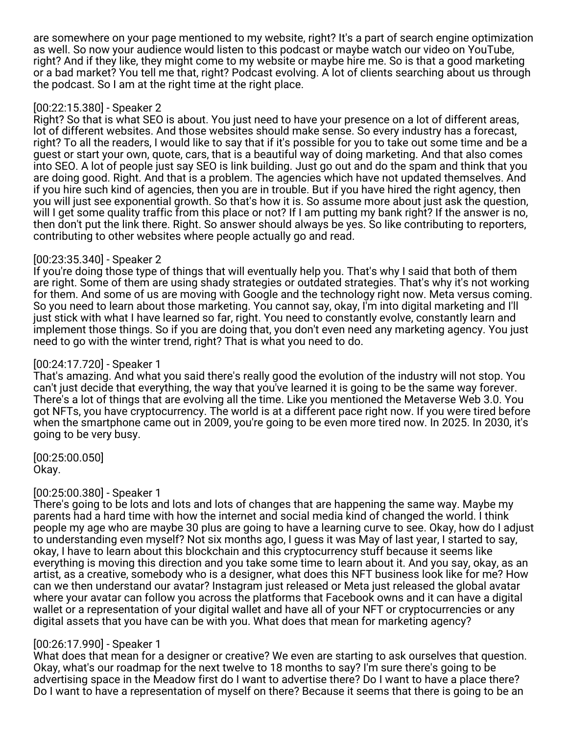are somewhere on your page mentioned to my website, right? It's a part of search engine optimization as well. So now your audience would listen to this podcast or maybe watch our video on YouTube, right? And if they like, they might come to my website or maybe hire me. So is that a good marketing or a bad market? You tell me that, right? Podcast evolving. A lot of clients searching about us through the podcast. So I am at the right time at the right place.

### [00:22:15.380] - Speaker 2

Right? So that is what SEO is about. You just need to have your presence on a lot of different areas, lot of different websites. And those websites should make sense. So every industry has a forecast, right? To all the readers, I would like to say that if it's possible for you to take out some time and be a guest or start your own, quote, cars, that is a beautiful way of doing marketing. And that also comes into SEO. A lot of people just say SEO is link building. Just go out and do the spam and think that you are doing good. Right. And that is a problem. The agencies which have not updated themselves. And if you hire such kind of agencies, then you are in trouble. But if you have hired the right agency, then you will just see exponential growth. So that's how it is. So assume more about just ask the question, will I get some quality traffic from this place or not? If I am putting my bank right? If the answer is no, then don't put the link there. Right. So answer should always be yes. So like contributing to reporters, contributing to other websites where people actually go and read.

### [00:23:35.340] - Speaker 2

If you're doing those type of things that will eventually help you. That's why I said that both of them are right. Some of them are using shady strategies or outdated strategies. That's why it's not working for them. And some of us are moving with Google and the technology right now. Meta versus coming. So you need to learn about those marketing. You cannot say, okay, I'm into digital marketing and I'll just stick with what I have learned so far, right. You need to constantly evolve, constantly learn and implement those things. So if you are doing that, you don't even need any marketing agency. You just need to go with the winter trend, right? That is what you need to do.

# [00:24:17.720] - Speaker 1

That's amazing. And what you said there's really good the evolution of the industry will not stop. You can't just decide that everything, the way that you've learned it is going to be the same way forever. There's a lot of things that are evolving all the time. Like you mentioned the Metaverse Web 3.0. You got NFTs, you have cryptocurrency. The world is at a different pace right now. If you were tired before when the smartphone came out in 2009, you're going to be even more tired now. In 2025. In 2030, it's going to be very busy.

[00:25:00.050] Okay.

# [00:25:00.380] - Speaker 1

There's going to be lots and lots and lots of changes that are happening the same way. Maybe my parents had a hard time with how the internet and social media kind of changed the world. I think people my age who are maybe 30 plus are going to have a learning curve to see. Okay, how do I adjust to understanding even myself? Not six months ago, I guess it was May of last year, I started to say, okay, I have to learn about this blockchain and this cryptocurrency stuff because it seems like everything is moving this direction and you take some time to learn about it. And you say, okay, as an artist, as a creative, somebody who is a designer, what does this NFT business look like for me? How can we then understand our avatar? Instagram just released or Meta just released the global avatar where your avatar can follow you across the platforms that Facebook owns and it can have a digital wallet or a representation of your digital wallet and have all of your NFT or cryptocurrencies or any digital assets that you have can be with you. What does that mean for marketing agency?

### [00:26:17.990] - Speaker 1

What does that mean for a designer or creative? We even are starting to ask ourselves that question. Okay, what's our roadmap for the next twelve to 18 months to say? I'm sure there's going to be advertising space in the Meadow first do I want to advertise there? Do I want to have a place there? Do I want to have a representation of myself on there? Because it seems that there is going to be an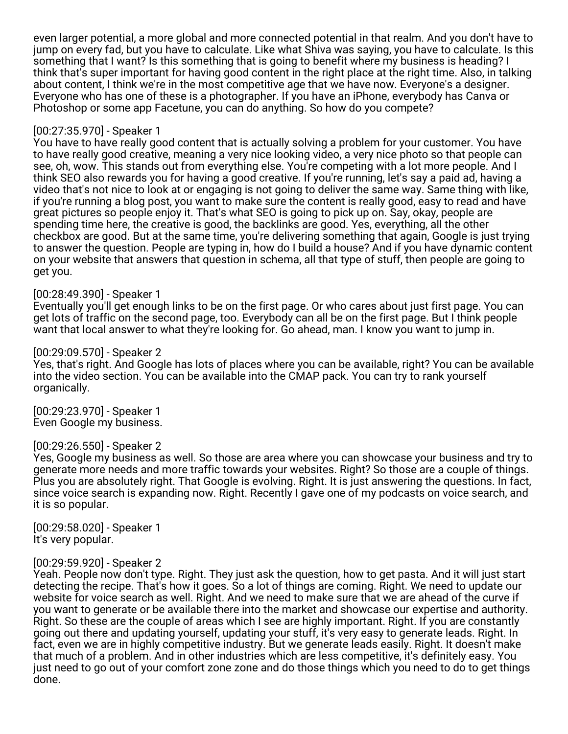even larger potential, a more global and more connected potential in that realm. And you don't have to jump on every fad, but you have to calculate. Like what Shiva was saying, you have to calculate. Is this something that I want? Is this something that is going to benefit where my business is heading? I think that's super important for having good content in the right place at the right time. Also, in talking about content, I think we're in the most competitive age that we have now. Everyone's a designer. Everyone who has one of these is a photographer. If you have an iPhone, everybody has Canva or Photoshop or some app Facetune, you can do anything. So how do you compete?

### [00:27:35.970] - Speaker 1

You have to have really good content that is actually solving a problem for your customer. You have to have really good creative, meaning a very nice looking video, a very nice photo so that people can see, oh, wow. This stands out from everything else. You're competing with a lot more people. And I think SEO also rewards you for having a good creative. If you're running, let's say a paid ad, having a video that's not nice to look at or engaging is not going to deliver the same way. Same thing with like, if you're running a blog post, you want to make sure the content is really good, easy to read and have great pictures so people enjoy it. That's what SEO is going to pick up on. Say, okay, people are spending time here, the creative is good, the backlinks are good. Yes, everything, all the other checkbox are good. But at the same time, you're delivering something that again, Google is just trying to answer the question. People are typing in, how do I build a house? And if you have dynamic content on your website that answers that question in schema, all that type of stuff, then people are going to get you.

### [00:28:49.390] - Speaker 1

Eventually you'll get enough links to be on the first page. Or who cares about just first page. You can get lots of traffic on the second page, too. Everybody can all be on the first page. But I think people want that local answer to what they're looking for. Go ahead, man. I know you want to jump in.

### [00:29:09.570] - Speaker 2

Yes, that's right. And Google has lots of places where you can be available, right? You can be available into the video section. You can be available into the CMAP pack. You can try to rank yourself organically.

[00:29:23.970] - Speaker 1 Even Google my business.

### [00:29:26.550] - Speaker 2

Yes, Google my business as well. So those are area where you can showcase your business and try to generate more needs and more traffic towards your websites. Right? So those are a couple of things. Plus you are absolutely right. That Google is evolving. Right. It is just answering the questions. In fact, since voice search is expanding now. Right. Recently I gave one of my podcasts on voice search, and it is so popular.

[00:29:58.020] - Speaker 1 It's very popular.

### [00:29:59.920] - Speaker 2

Yeah. People now don't type. Right. They just ask the question, how to get pasta. And it will just start detecting the recipe. That's how it goes. So a lot of things are coming. Right. We need to update our website for voice search as well. Right. And we need to make sure that we are ahead of the curve if you want to generate or be available there into the market and showcase our expertise and authority. Right. So these are the couple of areas which I see are highly important. Right. If you are constantly going out there and updating yourself, updating your stuff, it's very easy to generate leads. Right. In fact, even we are in highly competitive industry. But we generate leads easily. Right. It doesn't make that much of a problem. And in other industries which are less competitive, it's definitely easy. You just need to go out of your comfort zone zone and do those things which you need to do to get things done.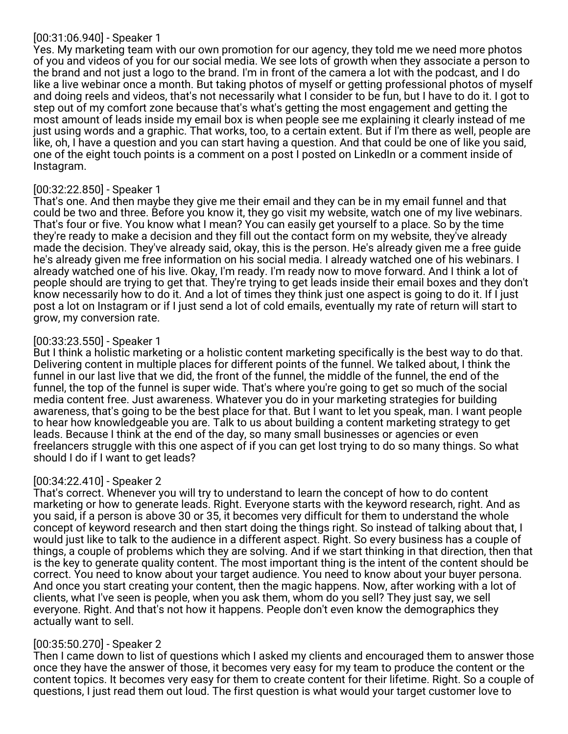### [00:31:06.940] - Speaker 1

Yes. My marketing team with our own promotion for our agency, they told me we need more photos of you and videos of you for our social media. We see lots of growth when they associate a person to the brand and not just a logo to the brand. I'm in front of the camera a lot with the podcast, and I do like a live webinar once a month. But taking photos of myself or getting professional photos of myself and doing reels and videos, that's not necessarily what I consider to be fun, but I have to do it. I got to step out of my comfort zone because that's what's getting the most engagement and getting the most amount of leads inside my email box is when people see me explaining it clearly instead of me just using words and a graphic. That works, too, to a certain extent. But if I'm there as well, people are like, oh, I have a question and you can start having a question. And that could be one of like you said, one of the eight touch points is a comment on a post I posted on LinkedIn or a comment inside of Instagram.

# [00:32:22.850] - Speaker 1

That's one. And then maybe they give me their email and they can be in my email funnel and that could be two and three. Before you know it, they go visit my website, watch one of my live webinars. That's four or five. You know what I mean? You can easily get yourself to a place. So by the time they're ready to make a decision and they fill out the contact form on my website, they've already made the decision. They've already said, okay, this is the person. He's already given me a free guide he's already given me free information on his social media. I already watched one of his webinars. I already watched one of his live. Okay, I'm ready. I'm ready now to move forward. And I think a lot of people should are trying to get that. They're trying to get leads inside their email boxes and they don't know necessarily how to do it. And a lot of times they think just one aspect is going to do it. If I just post a lot on Instagram or if I just send a lot of cold emails, eventually my rate of return will start to grow, my conversion rate.

# [00:33:23.550] - Speaker 1

But I think a holistic marketing or a holistic content marketing specifically is the best way to do that. Delivering content in multiple places for different points of the funnel. We talked about, I think the funnel in our last live that we did, the front of the funnel, the middle of the funnel, the end of the funnel, the top of the funnel is super wide. That's where you're going to get so much of the social media content free. Just awareness. Whatever you do in your marketing strategies for building awareness, that's going to be the best place for that. But I want to let you speak, man. I want people to hear how knowledgeable you are. Talk to us about building a content marketing strategy to get leads. Because I think at the end of the day, so many small businesses or agencies or even freelancers struggle with this one aspect of if you can get lost trying to do so many things. So what should I do if I want to get leads?

# [00:34:22.410] - Speaker 2

That's correct. Whenever you will try to understand to learn the concept of how to do content marketing or how to generate leads. Right. Everyone starts with the keyword research, right. And as you said, if a person is above 30 or 35, it becomes very difficult for them to understand the whole concept of keyword research and then start doing the things right. So instead of talking about that, I would just like to talk to the audience in a different aspect. Right. So every business has a couple of things, a couple of problems which they are solving. And if we start thinking in that direction, then that is the key to generate quality content. The most important thing is the intent of the content should be correct. You need to know about your target audience. You need to know about your buyer persona. And once you start creating your content, then the magic happens. Now, after working with a lot of clients, what I've seen is people, when you ask them, whom do you sell? They just say, we sell everyone. Right. And that's not how it happens. People don't even know the demographics they actually want to sell.

# [00:35:50.270] - Speaker 2

Then I came down to list of questions which I asked my clients and encouraged them to answer those once they have the answer of those, it becomes very easy for my team to produce the content or the content topics. It becomes very easy for them to create content for their lifetime. Right. So a couple of questions, I just read them out loud. The first question is what would your target customer love to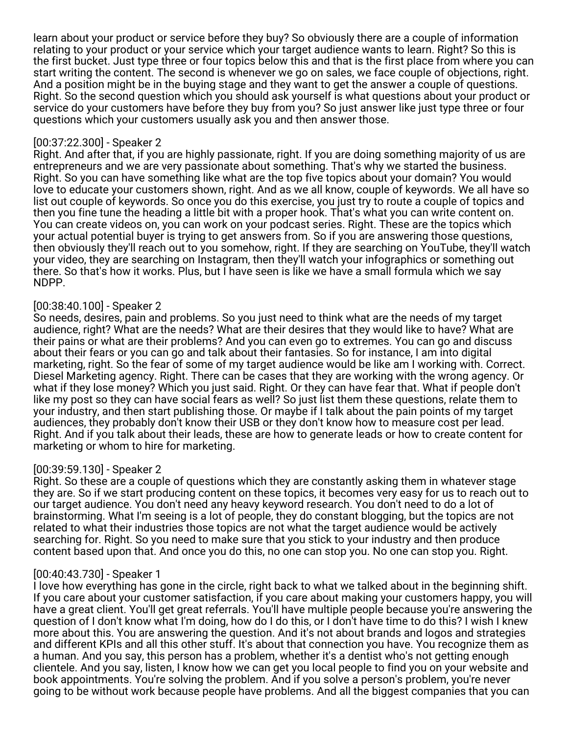learn about your product or service before they buy? So obviously there are a couple of information relating to your product or your service which your target audience wants to learn. Right? So this is the first bucket. Just type three or four topics below this and that is the first place from where you can start writing the content. The second is whenever we go on sales, we face couple of objections, right. And a position might be in the buying stage and they want to get the answer a couple of questions. Right. So the second question which you should ask yourself is what questions about your product or service do your customers have before they buy from you? So just answer like just type three or four questions which your customers usually ask you and then answer those.

### [00:37:22.300] - Speaker 2

Right. And after that, if you are highly passionate, right. If you are doing something majority of us are entrepreneurs and we are very passionate about something. That's why we started the business. Right. So you can have something like what are the top five topics about your domain? You would love to educate your customers shown, right. And as we all know, couple of keywords. We all have so list out couple of keywords. So once you do this exercise, you just try to route a couple of topics and then you fine tune the heading a little bit with a proper hook. That's what you can write content on. You can create videos on, you can work on your podcast series. Right. These are the topics which your actual potential buyer is trying to get answers from. So if you are answering those questions, then obviously they'll reach out to you somehow, right. If they are searching on YouTube, they'll watch your video, they are searching on Instagram, then they'll watch your infographics or something out there. So that's how it works. Plus, but I have seen is like we have a small formula which we say NDPP.

### [00:38:40.100] - Speaker 2

So needs, desires, pain and problems. So you just need to think what are the needs of my target audience, right? What are the needs? What are their desires that they would like to have? What are their pains or what are their problems? And you can even go to extremes. You can go and discuss about their fears or you can go and talk about their fantasies. So for instance, I am into digital marketing, right. So the fear of some of my target audience would be like am I working with. Correct. Diesel Marketing agency. Right. There can be cases that they are working with the wrong agency. Or what if they lose money? Which you just said. Right. Or they can have fear that. What if people don't like my post so they can have social fears as well? So just list them these questions, relate them to your industry, and then start publishing those. Or maybe if I talk about the pain points of my target audiences, they probably don't know their USB or they don't know how to measure cost per lead. Right. And if you talk about their leads, these are how to generate leads or how to create content for marketing or whom to hire for marketing.

# [00:39:59.130] - Speaker 2

Right. So these are a couple of questions which they are constantly asking them in whatever stage they are. So if we start producing content on these topics, it becomes very easy for us to reach out to our target audience. You don't need any heavy keyword research. You don't need to do a lot of brainstorming. What I'm seeing is a lot of people, they do constant blogging, but the topics are not related to what their industries those topics are not what the target audience would be actively searching for. Right. So you need to make sure that you stick to your industry and then produce content based upon that. And once you do this, no one can stop you. No one can stop you. Right.

# [00:40:43.730] - Speaker 1

I love how everything has gone in the circle, right back to what we talked about in the beginning shift. If you care about your customer satisfaction, if you care about making your customers happy, you will have a great client. You'll get great referrals. You'll have multiple people because you're answering the question of I don't know what I'm doing, how do I do this, or I don't have time to do this? I wish I knew more about this. You are answering the question. And it's not about brands and logos and strategies and different KPIs and all this other stuff. It's about that connection you have. You recognize them as a human. And you say, this person has a problem, whether it's a dentist who's not getting enough clientele. And you say, listen, I know how we can get you local people to find you on your website and book appointments. You're solving the problem. And if you solve a person's problem, you're never going to be without work because people have problems. And all the biggest companies that you can